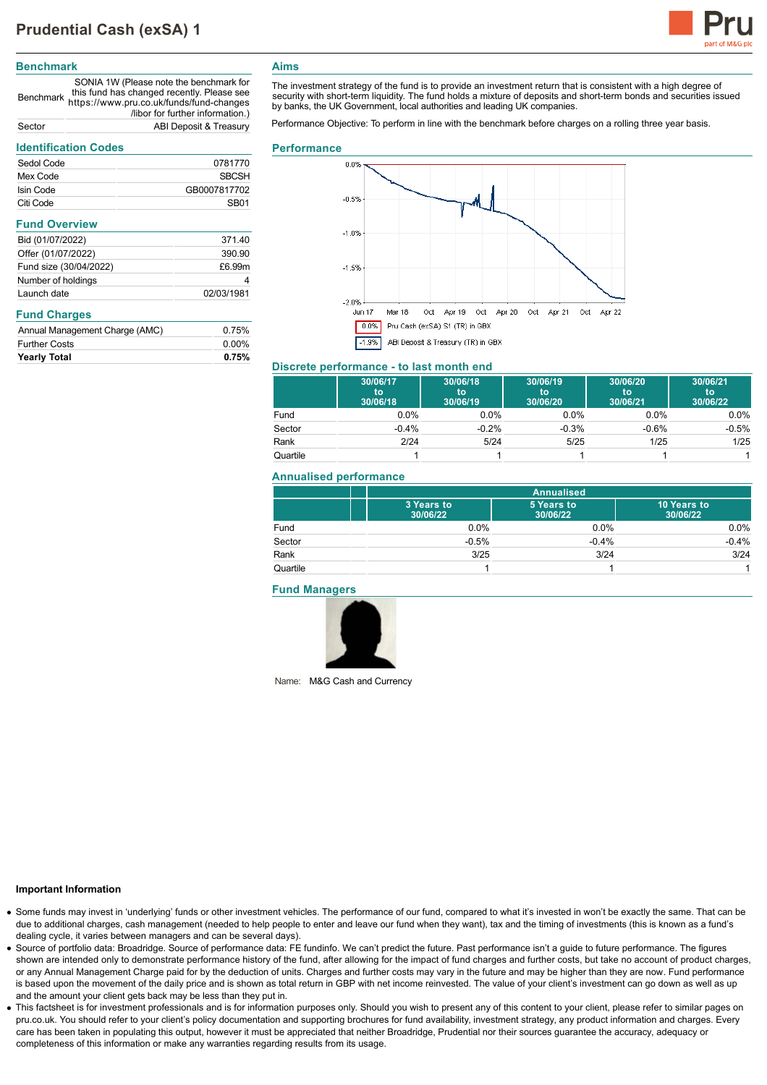

### **Benchmark**

Benchmark https://www.pru.co.uk/funds/fund-changes SONIA 1W (Please note the benchmark for this fund has changed recently. Please see /libor for further information.) Sector ABI Deposit & Treasury

## **Identification Codes**

| IUCHIILAHUII COUCS             |                  |  |
|--------------------------------|------------------|--|
| Sedol Code                     | 0781770          |  |
| Mex Code                       | SBCSH            |  |
| Isin Code                      | GB0007817702     |  |
| Citi Code                      | SB <sub>01</sub> |  |
| <b>Fund Overview</b>           |                  |  |
| Bid (01/07/2022)               | 371.40           |  |
| Offer (01/07/2022)             | 390.90           |  |
| Fund size (30/04/2022)         | £6.99m           |  |
| Number of holdings             | 4                |  |
| Launch date                    | 02/03/1981       |  |
| <b>Fund Charges</b>            |                  |  |
| Annual Management Charge (AMC) | 0.75%            |  |
| <b>Further Costs</b>           | $0.00\%$         |  |
| <b>Yearly Total</b>            | 0.75%            |  |

# **Aims**

The investment strategy of the fund is to provide an investment return that is consistent with a high degree of security with short-term liquidity. The fund holds a mixture of deposits and short-term bonds and securities issued by banks, the UK Government, local authorities and leading UK companies.

Performance Objective: To perform in line with the benchmark before charges on a rolling three year basis.

#### **Performance**



## **Discrete performance - to last month end**

|          | 30/06/17<br>to<br>30/06/18 | 30/06/18<br>to<br>30/06/19 | 30/06/19<br>to<br>30/06/20 | 30/06/20<br>to<br>30/06/21 | 30/06/21<br><b>to</b><br>30/06/22 |
|----------|----------------------------|----------------------------|----------------------------|----------------------------|-----------------------------------|
| Fund     | $0.0\%$                    | $0.0\%$                    | $0.0\%$                    | $0.0\%$                    | $0.0\%$                           |
| Sector   | $-0.4%$                    | $-0.2%$                    | $-0.3%$                    | $-0.6%$                    | $-0.5%$                           |
| Rank     | 2/24                       | 5/24                       | 5/25                       | 1/25                       | 1/25                              |
| Quartile |                            |                            |                            |                            |                                   |

### **Annualised performance**

|          | <b>Annualised</b>      |                        |                         |
|----------|------------------------|------------------------|-------------------------|
|          | 3 Years to<br>30/06/22 | 5 Years to<br>30/06/22 | 10 Years to<br>30/06/22 |
| Fund     | 0.0%                   | 0.0%                   | $0.0\%$                 |
| Sector   | $-0.5%$                | $-0.4%$                | $-0.4%$                 |
| Rank     | 3/25                   | 3/24                   | 3/24                    |
| Quartile |                        |                        |                         |

### **Fund Managers**



Name: M&G Cash and Currency

### **Important Information**

- Some funds may invest in 'underlying' funds or other investment vehicles. The performance of our fund, compared to what it's invested in won't be exactly the same. That can be due to additional charges, cash management (needed to help people to enter and leave our fund when they want), tax and the timing of investments (this is known as a fund's dealing cycle, it varies between managers and can be several days).
- Source of portfolio data: Broadridge. Source of performance data: FE fundinfo. We can't predict the future. Past performance isn't a guide to future performance. The figures shown are intended only to demonstrate performance history of the fund, after allowing for the impact of fund charges and further costs, but take no account of product charges, or any Annual Management Charge paid for by the deduction of units. Charges and further costs may vary in the future and may be higher than they are now. Fund performance is based upon the movement of the daily price and is shown as total return in GBP with net income reinvested. The value of your client's investment can go down as well as up and the amount your client gets back may be less than they put in.
- This factsheet is for investment professionals and is for information purposes only. Should you wish to present any of this content to your client, please refer to similar pages on pru.co.uk. You should refer to your client's policy documentation and supporting brochures for fund availability, investment strategy, any product information and charges. Every care has been taken in populating this output, however it must be appreciated that neither Broadridge, Prudential nor their sources guarantee the accuracy, adequacy or completeness of this information or make any warranties regarding results from its usage.